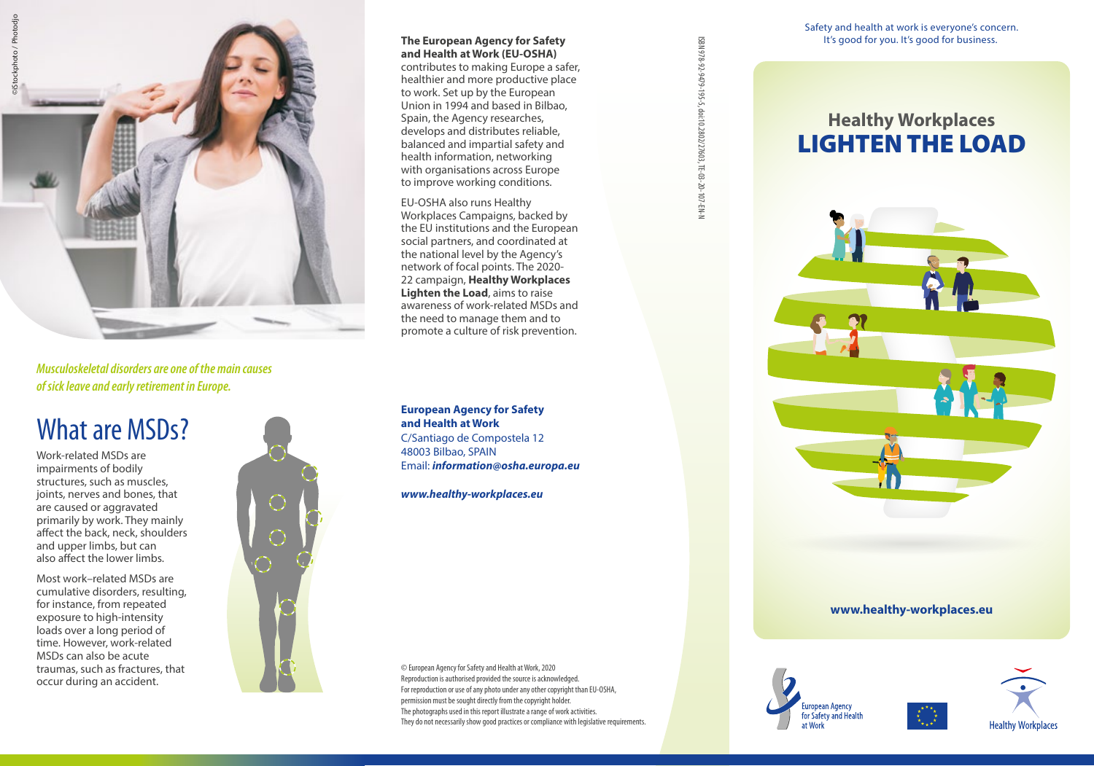

*Musculoskeletal disorders are one of the main causes of sick leave and early retirement in Europe.*

### What are MSDs?

Work-related MSDs are impairments of bodily structures, such as muscles, joints, nerves and bones, that are caused or aggravated primarily by work. They mainly affect the back, neck, shoulders and upper limbs, but can also affect the lower limbs.

Most work–related MSDs are cumulative disorders, resulting, for instance, from repeated exposure to high-intensity loads over a long period of time. However, work-related MSDs can also be acute traumas, such as fractures, that occur during an accident.



### **and Health at Work (EU-OSHA)**

**The European Agency for Safety**<br> **The European Agency on Safety**<br>
contributes to making European safer,<br>
healthier and more productive place<br>
to work. Set up by the European<br>
Union in 1994 and based in Bilbao,<br>
<br>
Sepain, contributes to making Europe a safer, healthier and more productive place to work. Set up by the European Union in 1994 and based in Bilbao, Spain, the Agency researches, develops and distributes reliable, balanced and impartial safety and health information, networking with organisations across Europe to improve working conditions.

EU-OSHA also runs Healthy Workplaces Campaigns, backed by the EU institutions and the European social partners, and coordinated at the national level by the Agency's network of focal points. The 2020- 22 campaign, **Healthy Workplaces Lighten the Load**, aims to raise awareness of work-related MSDs and the need to manage them and to promote a culture of risk prevention.

**European Agency for Safety and Health at Work** C/Santiago de Compostela 12 48003 Bilbao, SPAIN Email: *[information@osha.europa.eu](mailto:information%40osha.europa.eu?subject=)*

*[www.healthy-workplaces.eu](https://www.healthy-workplaces.eu)*

© European Agency for Safety and Health at Work, 2020 Reproduction is authorised provided the source is acknowledged. For reproduction or use of any photo under any other copyright than EU-OSHA, permission must be sought directly from the copyright holder. The photographs used in this report illustrate a range of work activities. They do not necessarily show good practices or compliance with legislative requirements.

ISBN 978-92-9479-195-5, doi:10.2802/27603, TE-03-20-107-EN-N

Safety and health at work is everyone's concern.

### **Healthy Workplaces** LIGHTEN THE LOAD



#### **www.healthy-workplaces.eu**